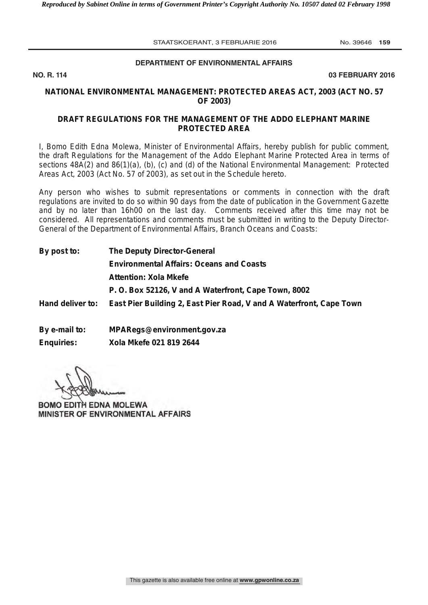# **DEPARTMENT OF ENVIRONMENTAL AFFAIRS**

**NO. R. 114 03 FEBRUARY 2016**

## **NATIONAL ENVIRONMENTAL MANAGEMENT: PROTECTED AREAS ACT, 2003 (ACT NO. 57 OF 2003)**

## **DRAFT REGULATIONS FOR THE MANAGEMENT OF THE ADDO ELEPHANT MARINE PROTECTED AREA**

I, Bomo Edith Edna Molewa, Minister of Environmental Affairs, hereby publish for public comment, the draft Regulations for the Management of the Addo Elephant Marine Protected Area in terms of sections 48A(2) and 86(1)(a), (b), (c) and (d) of the National Environmental Management: Protected Areas Act, 2003 (Act No. 57 of 2003), as set out in the Schedule hereto.

Any person who wishes to submit representations or comments in connection with the draft regulations are invited to do so within 90 days from the date of publication in the *Government Gazette* and by no later than 16h00 on the last day. Comments received after this time may not be considered. All representations and comments must be submitted in writing to the Deputy Director-General of the Department of Environmental Affairs, Branch Oceans and Coasts:

| <b>The Deputy Director-General</b><br><b>Environmental Affairs: Oceans and Coasts</b> |  |  |  |
|---------------------------------------------------------------------------------------|--|--|--|
|                                                                                       |  |  |  |
| P. O. Box 52126, V and A Waterfront, Cape Town, 8002                                  |  |  |  |
| East Pier Building 2, East Pier Road, V and A Waterfront, Cape Town                   |  |  |  |
|                                                                                       |  |  |  |
|                                                                                       |  |  |  |

**By e-mail to: MPARegs@environment.gov.za Enquiries: Xola Mkefe 021 819 2644** 

**BOMO EDITH EDNA MOLEWA** MINISTER OF ENVIRONMENTAL AFFAIRS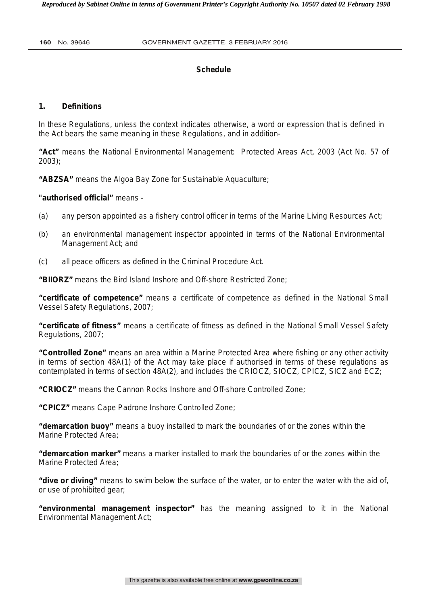# **Schedule**

# **1. Definitions**

In these Regulations, unless the context indicates otherwise, a word or expression that is defined in the Act bears the same meaning in these Regulations, and in addition-

**"Act"** means the National Environmental Management: Protected Areas Act, 2003 (Act No. 57 of 2003);

**"ABZSA"** means the Algoa Bay Zone for Sustainable Aquaculture;

**"authorised official"** means -

- (a) any person appointed as a fishery control officer in terms of the Marine Living Resources Act;
- (b) an environmental management inspector appointed in terms of the National Environmental Management Act; and
- (c) all peace officers as defined in the Criminal Procedure Act.

**"BIIORZ"** means the Bird Island Inshore and Off-shore Restricted Zone;

**"certificate of competence"** means a certificate of competence as defined in the National Small Vessel Safety Regulations, 2007;

**"certificate of fitness"** means a certificate of fitness as defined in the National Small Vessel Safety Regulations, 2007;

**"Controlled Zone"** means an area within a Marine Protected Area where fishing or any other activity in terms of section 48A(1) of the Act may take place if authorised in terms of these regulations as contemplated in terms of section 48A(2), and includes the CRIOCZ, SIOCZ, CPICZ, SICZ and ECZ;

**"CRIOCZ"** means the Cannon Rocks Inshore and Off-shore Controlled Zone;

**"CPICZ"** means Cape Padrone Inshore Controlled Zone;

**"demarcation buoy"** means a buoy installed to mark the boundaries of or the zones within the Marine Protected Area;

**"demarcation marker"** means a marker installed to mark the boundaries of or the zones within the Marine Protected Area;

**"dive or diving"** means to swim below the surface of the water, or to enter the water with the aid of, or use of prohibited gear;

**"environmental management inspector"** has the meaning assigned to it in the National Environmental Management Act;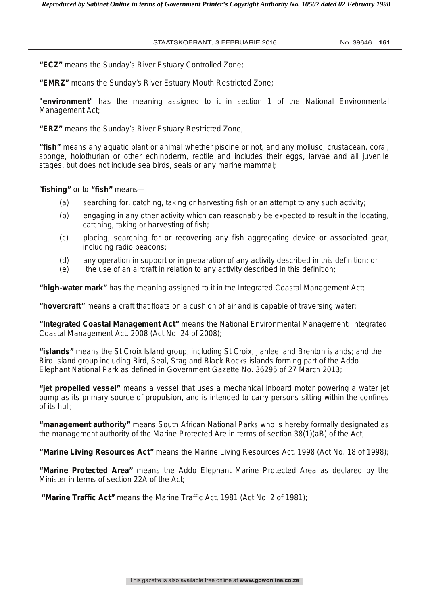**"ECZ"** means the Sunday's River Estuary Controlled Zone;

**"EMRZ"** means the Sunday's River Estuary Mouth Restricted Zone;

**"environment"** has the meaning assigned to it in section 1 of the National Environmental Management Act;

**"ERZ"** means the Sunday's River Estuary Restricted Zone;

**"fish"** means any aquatic plant or animal whether piscine or not, and any mollusc, crustacean, coral, sponge, holothurian or other echinoderm, reptile and includes their eggs, larvae and all juvenile stages, but does not include sea birds, seals or any marine mammal;

"**fishing"** or to **"fish"** means—

- (*a*) searching for, catching, taking or harvesting fish or an attempt to any such activity;
- (*b*) engaging in any other activity which can reasonably be expected to result in the locating, catching, taking or harvesting of fish;
- (*c*) placing, searching for or recovering any fish aggregating device or associated gear, including radio beacons;
- (*d*) any operation in support or in preparation of any activity described in this definition; or
- (*e*) the use of an aircraft in relation to any activity described in this definition;

**"high-water mark"** has the meaning assigned to it in the Integrated Coastal Management Act;

**"hovercraft"** means a craft that floats on a cushion of air and is capable of traversing water;

**"Integrated Coastal Management Act"** means the National Environmental Management: Integrated Coastal Management Act, 2008 (Act No. 24 of 2008);

**"islands"** means the St Croix Island group, including St Croix, Jahleel and Brenton islands; and the Bird Island group including Bird, Seal, Stag and Black Rocks islands forming part of the Addo Elephant National Park as defined in *Government Gazette* No. 36295 of 27 March 2013;

**"jet propelled vessel"** means a vessel that uses a mechanical inboard motor powering a water jet pump as its primary source of propulsion, and is intended to carry persons sitting within the confines of its hull;

**"management authority"** means South African National Parks who is hereby formally designated as the management authority of the Marine Protected Are in terms of section 38(1)(aB) of the Act;

**"Marine Living Resources Act"** means the Marine Living Resources Act, 1998 (Act No. 18 of 1998);

**"Marine Protected Area"** means the Addo Elephant Marine Protected Area as declared by the Minister in terms of section 22A of the Act;

 **"Marine Traffic Act"** means the Marine Traffic Act, 1981 (Act No. 2 of 1981);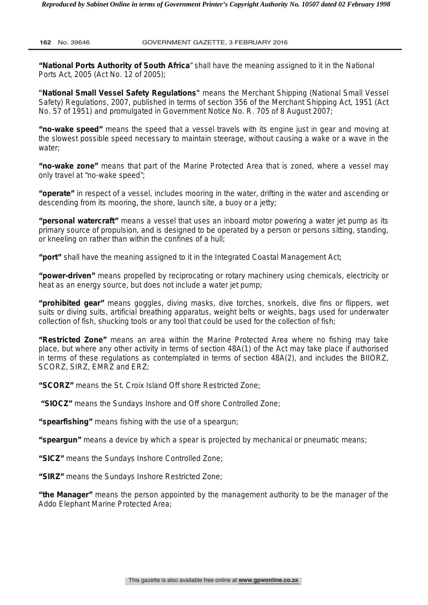**"National Ports Authority of South Africa**" shall have the meaning assigned to it in the National Ports Act, 2005 (Act No. 12 of 2005);

**"National Small Vessel Safety Regulations"** means the Merchant Shipping (National Small Vessel Safety) Regulations, 2007, published in terms of section 356 of the Merchant Shipping Act, 1951 (Act No. 57 of 1951) and promulgated in Government Notice No. R. 705 of 8 August 2007;

**"no-wake speed"** means the speed that a vessel travels with its engine just in gear and moving at the slowest possible speed necessary to maintain steerage, without causing a wake or a wave in the water;

**"no-wake zone"** means that part of the Marine Protected Area that is zoned, where a vessel may only travel at "no-wake speed";

**"operate"** in respect of a vessel, includes mooring in the water, drifting in the water and ascending or descending from its mooring, the shore, launch site, a buoy or a jetty;

**"personal watercraft"** means a vessel that uses an inboard motor powering a water jet pump as its primary source of propulsion, and is designed to be operated by a person or persons sitting, standing, or kneeling on rather than within the confines of a hull;

**"port"** shall have the meaning assigned to it in the Integrated Coastal Management Act;

**"power-driven"** means propelled by reciprocating or rotary machinery using chemicals, electricity or heat as an energy source, but does not include a water jet pump;

**"prohibited gear"** means goggles, diving masks, dive torches, snorkels, dive fins or flippers, wet suits or diving suits, artificial breathing apparatus, weight belts or weights, bags used for underwater collection of fish, shucking tools or any tool that could be used for the collection of fish;

**"Restricted Zone"** means an area within the Marine Protected Area where no fishing may take place, but where any other activity in terms of section 48A(1) of the Act may take place if authorised in terms of these regulations as contemplated in terms of section 48A(2), and includes the BIIORZ, SCORZ, SIRZ, EMRZ and ERZ;

**"SCORZ"** means the St. Croix Island Off shore Restricted Zone;

 **"SIOCZ"** means the Sundays Inshore and Off shore Controlled Zone;

**"spearfishing"** means fishing with the use of a speargun;

**"speargun"** means a device by which a spear is projected by mechanical or pneumatic means;

**"SICZ"** means the Sundays Inshore Controlled Zone;

**"SIRZ"** means the Sundays Inshore Restricted Zone;

**"the Manager"** means the person appointed by the management authority to be the manager of the Addo Elephant Marine Protected Area;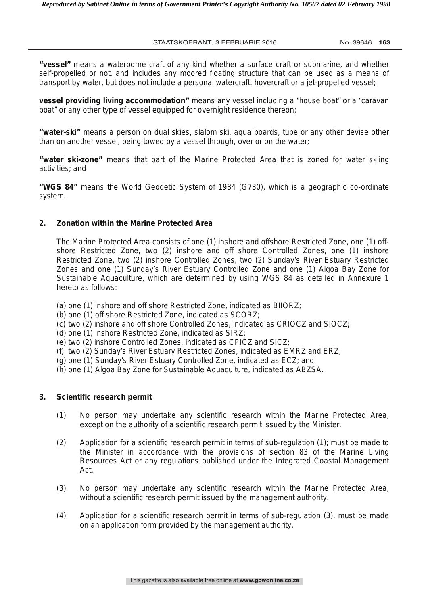**"vessel"** means a waterborne craft of any kind whether a surface craft or submarine, and whether self-propelled or not, and includes any moored floating structure that can be used as a means of transport by water, but does not include a personal watercraft, hovercraft or a jet-propelled vessel;

**vessel providing living accommodation"** means any vessel including a "house boat" or a "caravan boat" or any other type of vessel equipped for overnight residence thereon;

**"water-ski"** means a person on dual skies, slalom ski, aqua boards, tube or any other devise other than on another vessel, being towed by a vessel through, over or on the water;

**"water ski-zone"** means that part of the Marine Protected Area that is zoned for water skiing activities; and

**"WGS 84"** means the World Geodetic System of 1984 (G730), which is a geographic co-ordinate system.

#### **2. Zonation within the Marine Protected Area**

 The Marine Protected Area consists of one (1) inshore and offshore Restricted Zone, one (1) offshore Restricted Zone, two (2) inshore and off shore Controlled Zones, one (1) inshore Restricted Zone, two (2) inshore Controlled Zones, two (2) Sunday's River Estuary Restricted Zones and one (1) Sunday's River Estuary Controlled Zone and one (1) Algoa Bay Zone for Sustainable Aquaculture, which are determined by using WGS 84 as detailed in Annexure 1 hereto as follows:

- (a) one (1) inshore and off shore Restricted Zone, indicated as BIIORZ;
- (b) one (1) off shore Restricted Zone, indicated as SCORZ;
- (c) two (2) inshore and off shore Controlled Zones, indicated as CRIOCZ and SIOCZ;
- (d) one (1) inshore Restricted Zone, indicated as SIRZ;
- (e) two (2) inshore Controlled Zones, indicated as CPICZ and SICZ;
- (f) two (2) Sunday's River Estuary Restricted Zones, indicated as EMRZ and ERZ;
- (g) one (1) Sunday's River Estuary Controlled Zone, indicated as ECZ; and
- (h) one (1) Algoa Bay Zone for Sustainable Aquaculture, indicated as ABZSA.

#### **3. Scientific research permit**

- (1) No person may undertake any scientific research within the Marine Protected Area, except on the authority of a scientific research permit issued by the Minister.
- (2) Application for a scientific research permit in terms of sub-regulation (1); must be made to the Minister in accordance with the provisions of section 83 of the Marine Living Resources Act or any regulations published under the Integrated Coastal Management Act.
- (3) No person may undertake any scientific research within the Marine Protected Area, without a scientific research permit issued by the management authority.
- (4) Application for a scientific research permit in terms of sub-regulation (3), must be made on an application form provided by the management authority.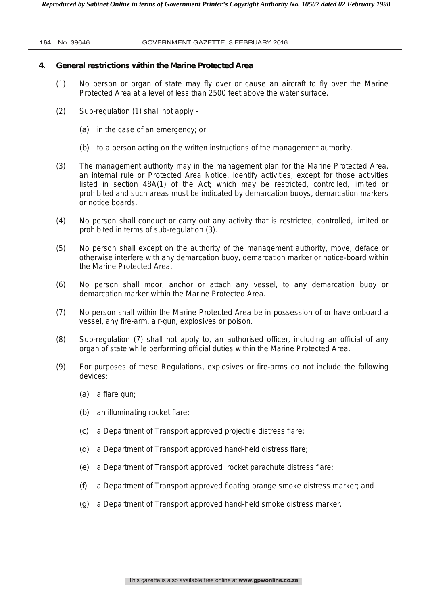## **4. General restrictions within the Marine Protected Area**

- (1) No person or organ of state may fly over or cause an aircraft to fly over the Marine Protected Area at a level of less than 2500 feet above the water surface.
- (2) Sub-regulation (1) shall not apply
	- *(a)* in the case of an emergency; or
	- *(b)* to a person acting on the written instructions of the management authority.
- (3) The management authority may in the management plan for the Marine Protected Area, an internal rule or Protected Area Notice, identify activities, except for those activities listed in section 48A(1) of the Act; which may be restricted, controlled, limited or prohibited and such areas must be indicated by demarcation buoys, demarcation markers or notice boards.
- (4) No person shall conduct or carry out any activity that is restricted, controlled, limited or prohibited in terms of sub-regulation (3).
- (5) No person shall except on the authority of the management authority, move, deface or otherwise interfere with any demarcation buoy, demarcation marker or notice-board within the Marine Protected Area.
- (6) No person shall moor, anchor or attach any vessel, to any demarcation buoy or demarcation marker within the Marine Protected Area.
- (7) No person shall within the Marine Protected Area be in possession of or have onboard a vessel, any fire-arm, air-gun, explosives or poison.
- (8) Sub-regulation (7) shall not apply to, an authorised officer, including an official of any organ of state while performing official duties within the Marine Protected Area.
- (9) For purposes of these Regulations, explosives or fire-arms do not include the following devices:
	- *(a)* a flare gun;
	- *(b)* an illuminating rocket flare;
	- *(c)* a Department of Transport approved projectile distress flare;
	- *(d)* a Department of Transport approved hand-held distress flare;
	- *(e)* a Department of Transport approved rocket parachute distress flare;
	- *(f)* a Department of Transport approved floating orange smoke distress marker; and
	- *(g)* a Department of Transport approved hand-held smoke distress marker.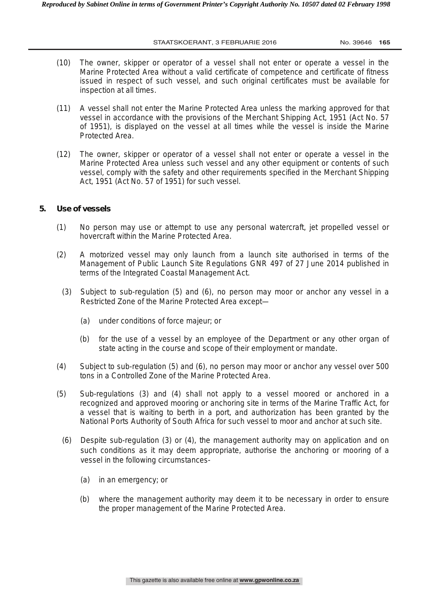- (10) The owner, skipper or operator of a vessel shall not enter or operate a vessel in the Marine Protected Area without a valid certificate of competence and certificate of fitness issued in respect of such vessel, and such original certificates must be available for inspection at all times.
- (11) A vessel shall not enter the Marine Protected Area unless the marking approved for that vessel in accordance with the provisions of the Merchant Shipping Act, 1951 (Act No. 57 of 1951), is displayed on the vessel at all times while the vessel is inside the Marine Protected Area.
- (12) The owner, skipper or operator of a vessel shall not enter or operate a vessel in the Marine Protected Area unless such vessel and any other equipment or contents of such vessel, comply with the safety and other requirements specified in the Merchant Shipping Act, 1951 (Act No. 57 of 1951) for such vessel.

## **5. Use of vessels**

- (1) No person may use or attempt to use any personal watercraft, jet propelled vessel or hovercraft within the Marine Protected Area.
- (2) A motorized vessel may only launch from a launch site authorised in terms of the Management of Public Launch Site Regulations GNR 497 of 27 June 2014 published in terms of the Integrated Coastal Management Act*.*
	- (3) Subject to sub-regulation (5) and (6), no person may moor or anchor any vessel in a Restricted Zone of the Marine Protected Area except—
		- *(a)* under conditions of *force majeur;* or
		- *(b)* for the use of a vessel by an employee of the Department or any other organ of state acting in the course and scope of their employment or mandate.
- (4) Subject to sub-regulation (5) and (6), no person may moor or anchor any vessel over 500 tons in a Controlled Zone of the Marine Protected Area.
- (5) Sub-regulations (3) and (4) shall not apply to a vessel moored or anchored in a recognized and approved mooring or anchoring site in terms of the Marine Traffic Act, for a vessel that is waiting to berth in a port, and authorization has been granted by the National Ports Authority of South Africa for such vessel to moor and anchor at such site.
	- (6) Despite sub-regulation (3) or (4), the management authority may on application and on such conditions as it may deem appropriate, authorise the anchoring or mooring of a vessel in the following circumstances-
		- *(a)* in an emergency; or
		- *(b)* where the management authority may deem it to be necessary in order to ensure the proper management of the Marine Protected Area.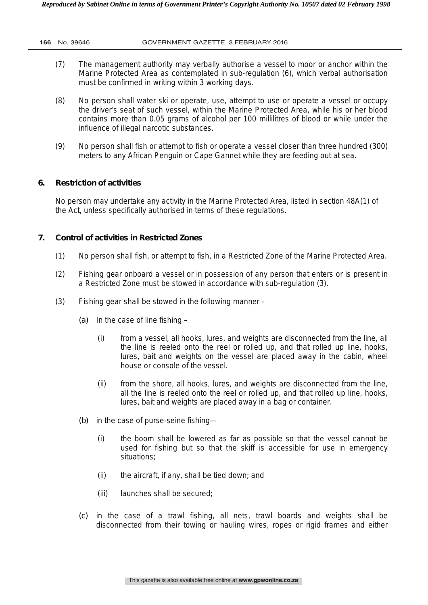- (7) The management authority may verbally authorise a vessel to moor or anchor within the Marine Protected Area as contemplated in sub-regulation (6), which verbal authorisation must be confirmed in writing within 3 working days.
- (8) No person shall water ski or operate, use, attempt to use or operate a vessel or occupy the driver's seat of such vessel, within the Marine Protected Area, while his or her blood contains more than 0.05 grams of alcohol per 100 millilitres of blood or while under the influence of illegal narcotic substances.
- (9) No person shall fish or attempt to fish or operate a vessel closer than three hundred (300) meters to any African Penguin or Cape Gannet while they are feeding out at sea.

# **6. Restriction of activities**

No person may undertake any activity in the Marine Protected Area, listed in section 48A(1) of the Act, unless specifically authorised in terms of these regulations.

# **7. Control of activities in Restricted Zones**

- (1) No person shall fish, or attempt to fish, in a Restricted Zone of the Marine Protected Area.
- (2) Fishing gear onboard a vessel or in possession of any person that enters or is present in a Restricted Zone must be stowed in accordance with sub-regulation (3).
- (3) Fishing gear shall be stowed in the following manner
	- *(a)* In the case of line fishing
		- (i) from a vessel, all hooks, lures, and weights are disconnected from the line, all the line is reeled onto the reel or rolled up, and that rolled up line, hooks, lures, bait and weights on the vessel are placed away in the cabin, wheel house or console of the vessel.
		- (ii) from the shore, all hooks, lures, and weights are disconnected from the line, all the line is reeled onto the reel or rolled up, and that rolled up line, hooks, lures, bait and weights are placed away in a bag or container.
	- *(b)* in the case of purse-seine fishing—
		- (i) the boom shall be lowered as far as possible so that the vessel cannot be used for fishing but so that the skiff is accessible for use in emergency situations;
		- (ii) the aircraft, if any, shall be tied down; and
		- (iii) launches shall be secured;
	- *(c)* in the case of a trawl fishing, all nets, trawl boards and weights shall be disconnected from their towing or hauling wires, ropes or rigid frames and either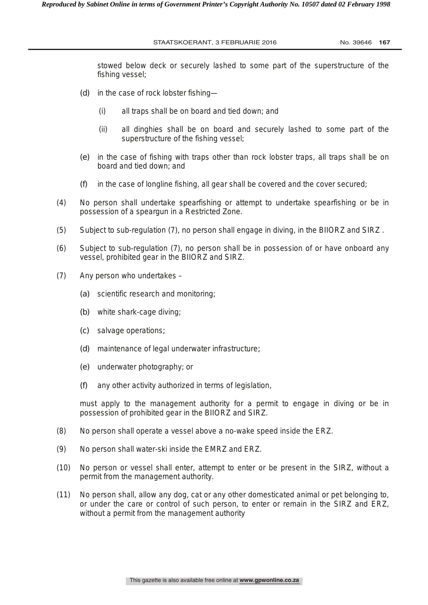stowed below deck or securely lashed to some part of the superstructure of the fishing vessel;

- *(d)* in the case of rock lobster fishing—
	- (i) all traps shall be on board and tied down; and
	- (ii) all dinghies shall be on board and securely lashed to some part of the superstructure of the fishing vessel;
- *(e)* in the case of fishing with traps other than rock lobster traps, all traps shall be on board and tied down; and
- *(f)* in the case of longline fishing, all gear shall be covered and the cover secured;
- (4) No person shall undertake spearfishing or attempt to undertake spearfishing or be in possession of a speargun in a Restricted Zone.
- (5) Subject to sub-regulation (7), no person shall engage in diving, in the BIIORZ and SIRZ .
- (6) Subject to sub-regulation (7), no person shall be in possession of or have onboard any vessel, prohibited gear in the BIIORZ and SIRZ.
- (7) Any person who undertakes
	- *(a)* scientific research and monitoring;
	- *(b)* white shark-cage diving;
	- *(c)* salvage operations*;*
	- *(d)* maintenance of legal underwater infrastructure*;*
	- *(e)* underwater photography; or
	- *(f)* any other activity authorized in terms of legislation,

must apply to the management authority for a permit to engage in diving or be in possession of prohibited gear in the BIIORZ and SIRZ.

- (8) No person shall operate a vessel above a no-wake speed inside the ERZ.
- (9) No person shall water-ski inside the EMRZ and ERZ.
- (10) No person or vessel shall enter, attempt to enter or be present in the SIRZ, without a permit from the management authority.
- (11) No person shall, allow any dog, cat or any other domesticated animal or pet belonging to, or under the care or control of such person, to enter or remain in the SIRZ and ERZ, without a permit from the management authority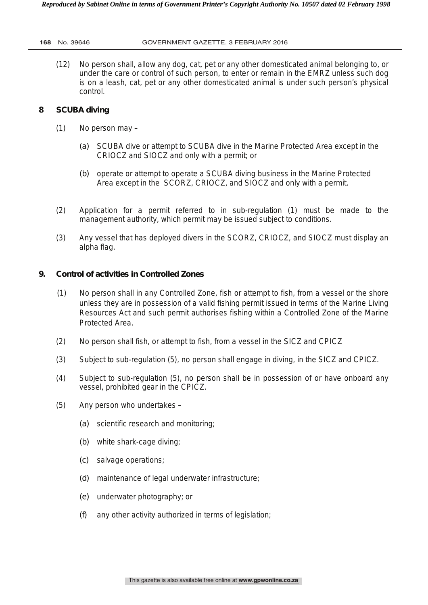(12) No person shall, allow any dog, cat, pet or any other domesticated animal belonging to, or under the care or control of such person, to enter or remain in the EMRZ unless such dog is on a leash, cat, pet or any other domesticated animal is under such person's physical control.

# **8 SCUBA diving**

- (1) No person may
	- *(a)* SCUBA dive or attempt to SCUBA dive in the Marine Protected Area except in the CRIOCZ and SIOCZ and only with a permit; or
	- *(b)* operate or attempt to operate a SCUBA diving business in the Marine Protected Area except in the SCORZ, CRIOCZ, and SIOCZ and only with a permit.
- (2) Application for a permit referred to in sub-regulation (1) must be made to the management authority, which permit may be issued subject to conditions.
- (3) Any vessel that has deployed divers in the SCORZ, CRIOCZ, and SIOCZ must display an alpha flag.

# **9. Control of activities in Controlled Zones**

- (1) No person shall in any Controlled Zone, fish or attempt to fish, from a vessel or the shore unless they are in possession of a valid fishing permit issued in terms of the Marine Living Resources Act and such permit authorises fishing within a Controlled Zone of the Marine Protected Area.
- (2) No person shall fish, or attempt to fish, from a vessel in the SICZ and CPICZ
- (3) Subject to sub-regulation (5), no person shall engage in diving, in the SICZ and CPICZ.
- (4) Subject to sub-regulation (5), no person shall be in possession of or have onboard any vessel, prohibited gear in the CPICZ.
- (5) Any person who undertakes
	- *(a)* scientific research and monitoring;
	- *(b)* white shark-cage diving;
	- *(c)* salvage operations;
	- *(d)* maintenance of legal underwater infrastructure;
	- *(e)* underwater photography; or
	- *(f)* any other activity authorized in terms of legislation;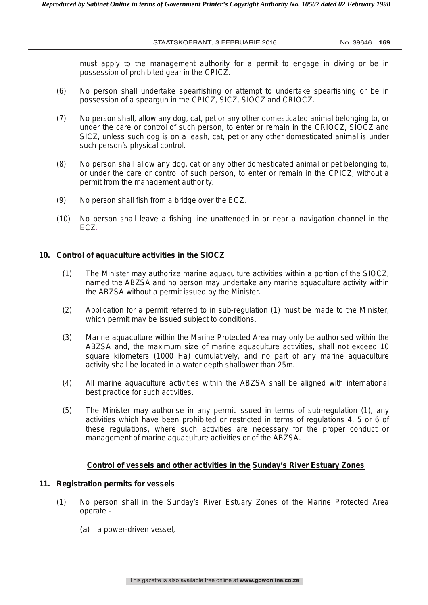must apply to the management authority for a permit to engage in diving or be in possession of prohibited gear in the CPICZ.

- (6) No person shall undertake spearfishing or attempt to undertake spearfishing or be in possession of a speargun in the CPICZ, SICZ, SIOCZ and CRIOCZ.
- (7) No person shall, allow any dog, cat, pet or any other domesticated animal belonging to, or under the care or control of such person, to enter or remain in the CRIOCZ, SIOCZ and SICZ, unless such dog is on a leash, cat, pet or any other domesticated animal is under such person's physical control.
- (8) No person shall allow any dog, cat or any other domesticated animal or pet belonging to, or under the care or control of such person, to enter or remain in the CPICZ, without a permit from the management authority.
- (9) No person shall fish from a bridge over the ECZ.
- (10) No person shall leave a fishing line unattended in or near a navigation channel in the ECZ.

#### **10. Control of aquaculture activities in the SIOCZ**

- (1) The Minister may authorize marine aquaculture activities within a portion of the SIOCZ, named the ABZSA and no person may undertake any marine aquaculture activity within the ABZSA without a permit issued by the Minister.
- (2) Application for a permit referred to in sub-regulation (1) must be made to the Minister, which permit may be issued subject to conditions.
- (3) Marine aquaculture within the Marine Protected Area may only be authorised within the ABZSA and, the maximum size of marine aquaculture activities, shall not exceed 10 square kilometers (1000 Ha) cumulatively, and no part of any marine aquaculture activity shall be located in a water depth shallower than 25m.
- (4) All marine aquaculture activities within the ABZSA shall be aligned with international best practice for such activities.
- (5) The Minister may authorise in any permit issued in terms of sub-regulation (1), any activities which have been prohibited or restricted in terms of regulations 4, 5 or 6 of these regulations, where such activities are necessary for the proper conduct or management of marine aquaculture activities or of the ABZSA.

## **Control of vessels and other activities in the Sunday's River Estuary Zones**

## **11. Registration permits for vessels**

- (1) No person shall in the Sunday's River Estuary Zones of the Marine Protected Area operate -
	- *(a)* a power-driven vessel,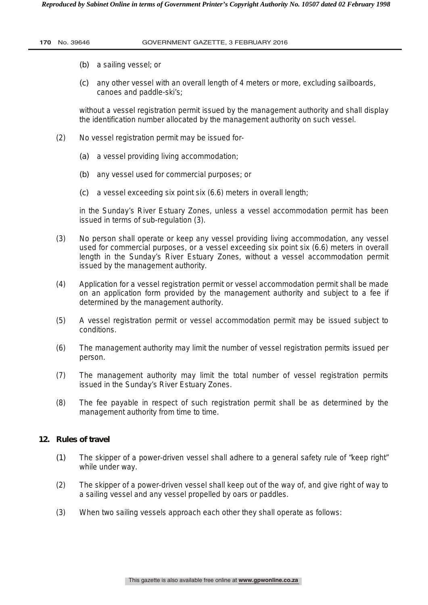#### **170** No. 39646 GOVERNMENT GAZETTE, 3 FEBRUARY 2016

- *(b)* a sailing vessel; or
- *(c)* any other vessel with an overall length of 4 meters or more, excluding sailboards, canoes and paddle-ski's;

without a vessel registration permit issued by the management authority and shall display the identification number allocated by the management authority on such vessel.

- (2) No vessel registration permit may be issued for-
	- *(a)* a vessel providing living accommodation;
	- *(b)* any vessel used for commercial purposes; or
	- *(c)* a vessel exceeding six point six (6.6) meters in overall length;

in the Sunday's River Estuary Zones, unless a vessel accommodation permit has been issued in terms of sub-regulation (3).

- (3) No person shall operate or keep any vessel providing living accommodation, any vessel used for commercial purposes, or a vessel exceeding six point six (6.6) meters in overall length in the Sunday's River Estuary Zones, without a vessel accommodation permit issued by the management authority.
- (4) Application for a vessel registration permit or vessel accommodation permit shall be made on an application form provided by the management authority and subject to a fee if determined by the management authority.
- (5) A vessel registration permit or vessel accommodation permit may be issued subject to conditions.
- (6) The management authority may limit the number of vessel registration permits issued per person.
- (7) The management authority may limit the total number of vessel registration permits issued in the Sunday's River Estuary Zones.
- (8) The fee payable in respect of such registration permit shall be as determined by the management authority from time to time.

# **12. Rules of travel**

- *(1)* The skipper of a power-driven vessel shall adhere to a general safety rule of "keep right" while under way.
- (2) The skipper of a power-driven vessel shall keep out of the way of, and give right of way to a sailing vessel and any vessel propelled by oars or paddles.
- (3) When two sailing vessels approach each other they shall operate as follows: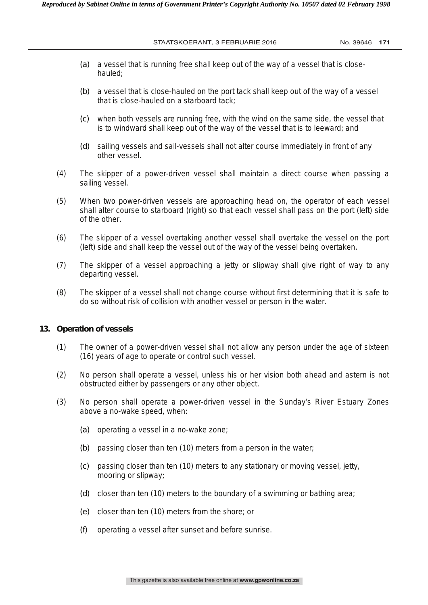- *(a)* a vessel that is running free shall keep out of the way of a vessel that is closehauled;
- *(b)* a vessel that is close-hauled on the port tack shall keep out of the way of a vessel that is close-hauled on a starboard tack;
- *(c)* when both vessels are running free, with the wind on the same side, the vessel that is to windward shall keep out of the way of the vessel that is to leeward; and
- *(d)* sailing vessels and sail-vessels shall not alter course immediately in front of any other vessel.
- (4) The skipper of a power-driven vessel shall maintain a direct course when passing a sailing vessel.
- (5) When two power-driven vessels are approaching head on, the operator of each vessel shall alter course to starboard (right) so that each vessel shall pass on the port (left) side of the other.
- (6) The skipper of a vessel overtaking another vessel shall overtake the vessel on the port (left) side and shall keep the vessel out of the way of the vessel being overtaken.
- (7) The skipper of a vessel approaching a jetty or slipway shall give right of way to any departing vessel.
- (8) The skipper of a vessel shall not change course without first determining that it is safe to do so without risk of collision with another vessel or person in the water.

#### **13. Operation of vessels**

- (1) The owner of a power-driven vessel shall not allow any person under the age of sixteen (16) years of age to operate or control such vessel.
- (2) No person shall operate a vessel, unless his or her vision both ahead and astern is not obstructed either by passengers or any other object.
- (3) No person shall operate a power-driven vessel in the Sunday's River Estuary Zones above a no-wake speed, when:
	- *(a)* operating a vessel in a no-wake zone;
	- *(b)* passing closer than ten (10) meters from a person in the water;
	- *(c)* passing closer than ten (10) meters to any stationary or moving vessel, jetty, mooring or slipway;
	- *(d)* closer than ten (10) meters to the boundary of a swimming or bathing area;
	- *(e)* closer than ten (10) meters from the shore; or
	- *(f)* operating a vessel after sunset and before sunrise.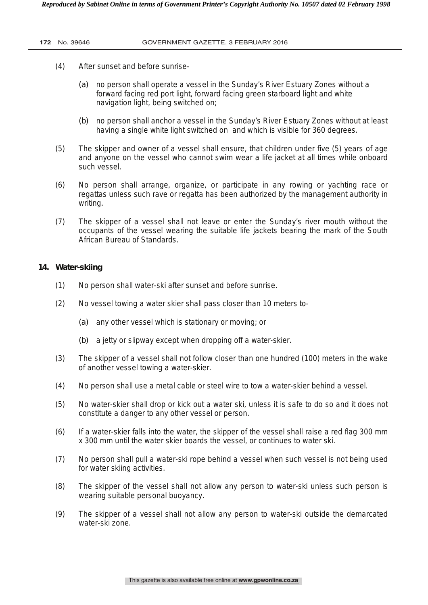#### **172** No. 39646 GOVERNMENT GAZETTE, 3 FEBRUARY 2016

- (4) After sunset and before sunrise-
	- *(a)* no person shall operate a vessel in the Sunday's River Estuary Zones without a forward facing red port light, forward facing green starboard light and white navigation light, being switched on;
	- *(b)* no person shall anchor a vessel in the Sunday's River Estuary Zones without at least having a single white light switched on and which is visible for 360 degrees.
- (5) The skipper and owner of a vessel shall ensure, that children under five (5) years of age and anyone on the vessel who cannot swim wear a life jacket at all times while onboard such vessel.
- (6) No person shall arrange, organize, or participate in any rowing or yachting race or regattas unless such rave or regatta has been authorized by the management authority in writing.
- (7) The skipper of a vessel shall not leave or enter the Sunday's river mouth without the occupants of the vessel wearing the suitable life jackets bearing the mark of the South African Bureau of Standards.

### **14. Water-skiing**

- (1) No person shall water-ski after sunset and before sunrise.
- (2) No vessel towing a water skier shall pass closer than 10 meters to-
	- *(a)* any other vessel which is stationary or moving; or
	- *(b)* a jetty or slipway except when dropping off a water-skier.
- (3) The skipper of a vessel shall not follow closer than one hundred (100) meters in the wake of another vessel towing a water-skier.
- (4) No person shall use a metal cable or steel wire to tow a water-skier behind a vessel.
- (5) No water-skier shall drop or kick out a water ski, unless it is safe to do so and it does not constitute a danger to any other vessel or person.
- (6) If a water-skier falls into the water, the skipper of the vessel shall raise a red flag 300 mm x 300 mm until the water skier boards the vessel, or continues to water ski.
- (7) No person shall pull a water-ski rope behind a vessel when such vessel is not being used for water skiing activities.
- (8) The skipper of the vessel shall not allow any person to water-ski unless such person is wearing suitable personal buoyancy.
- (9) The skipper of a vessel shall not allow any person to water-ski outside the demarcated water-ski zone.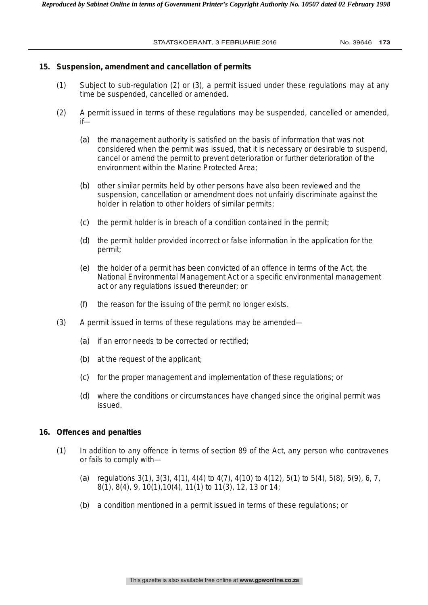#### **15. Suspension, amendment and cancellation of permits**

- (1) Subject to sub-regulation (2) or (3), a permit issued under these regulations may at any time be suspended, cancelled or amended.
- (2) A permit issued in terms of these regulations may be suspended, cancelled or amended, if—
	- *(a)* the management authority is satisfied on the basis of information that was not considered when the permit was issued, that it is necessary or desirable to suspend, cancel or amend the permit to prevent deterioration or further deterioration of the environment within the Marine Protected Area;
	- *(b)* other similar permits held by other persons have also been reviewed and the suspension, cancellation or amendment does not unfairly discriminate against the holder in relation to other holders of similar permits;
	- *(c)* the permit holder is in breach of a condition contained in the permit;
	- *(d)* the permit holder provided incorrect or false information in the application for the permit;
	- *(e)* the holder of a permit has been convicted of an offence in terms of the Act, the National Environmental Management Act or a specific environmental management act or any regulations issued thereunder; or
	- *(f)* the reason for the issuing of the permit no longer exists.
- (3) A permit issued in terms of these regulations may be amended—
	- *(a)* if an error needs to be corrected or rectified;
	- *(b)* at the request of the applicant;
	- *(c)* for the proper management and implementation of these regulations; or
	- *(d)* where the conditions or circumstances have changed since the original permit was issued.

## **16. Offences and penalties**

- (1) In addition to any offence in terms of section 89 of the Act, any person who contravenes or fails to comply with—
	- (*a*) regulations 3(1), 3(3), 4(1), 4(4) to 4(7), 4(10) to 4(12), 5(1) to 5(4), 5(8), 5(9), 6, 7, 8(1), 8(4), 9, 10(1),10(4), 11(1) to 11(3), 12, 13 or 14;
	- (*b*) a condition mentioned in a permit issued in terms of these regulations; or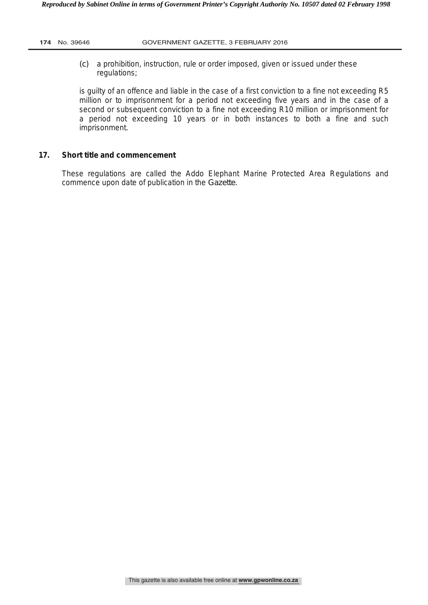*(c)* a prohibition, instruction, rule or order imposed, given or issued under these regulations;

is guilty of an offence and liable in the case of a first conviction to a fine not exceeding R5 million or to imprisonment for a period not exceeding five years and in the case of a second or subsequent conviction to a fine not exceeding R10 million or imprisonment for a period not exceeding 10 years or in both instances to both a fine and such imprisonment.

## **17. Short title and commencement**

These regulations are called the Addo Elephant Marine Protected Area Regulations and commence upon date of publication in the *Gazette*.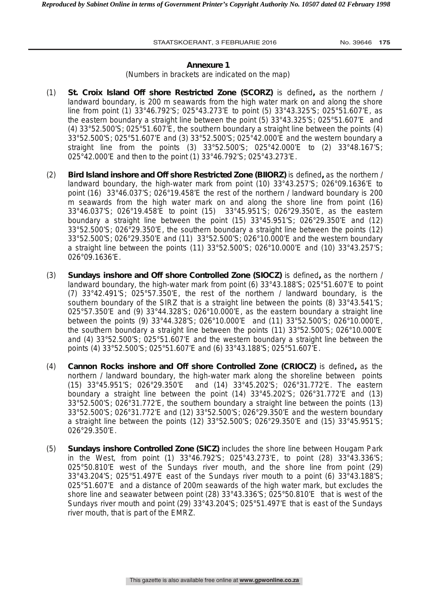#### **Annexure 1**

(Numbers in brackets are indicated on the map)

- (1) **St. Croix Island Off shore Restricted Zone (SCORZ)** is defined**,** as the northern / landward boundary, is 200 m seawards from the high water mark on and along the shore line from point (1) 33°46.792'S; 025°43.273'E to point (5) 33°43.325'S; 025°51.607'E, as the eastern boundary a straight line between the point (5) 33°43.325'S; 025°51.607'E and (4) 33°52.500'S; 025°51.607'E, the southern boundary a straight line between the points (4) 33°52.500'S; 025°51.607'E and (3) 33°52.500'S; 025°42.000'E and the western boundary a straight line from the points (3) 33°52.500'S; 025°42.000'E to (2) 33°48.167'S; 025°42.000'E and then to the point (1) 33°46.792'S; 025°43.273'E.
- (2) **Bird Island inshore and Off shore Restricted Zone (BIIORZ)** is defined**,** as the northern / landward boundary, the high-water mark from point (10) 33°43.257'S; 026°09.1636'E to point (16) 33°46.037'S; 026°19.458'E the rest of the northern / landward boundary is 200 m seawards from the high water mark on and along the shore line from point (16) 33°46.037'S; 026°19.458'E to point (15) 33°45.951'S; 026°29.350'E, as the eastern boundary a straight line between the point (15) 33°45.951'S; 026°29.350'E and (12) 33°52.500'S; 026°29.350'E, the southern boundary a straight line between the points (12) 33°52.500'S; 026°29.350'E and (11) 33°52.500'S; 026°10.000'E and the western boundary a straight line between the points (11) 33°52.500'S; 026°10.000'E and (10) 33°43.257'S; 026°09.1636'E.
- (3) **Sundays inshore and Off shore Controlled Zone (SIOCZ)** is defined**,** as the northern / landward boundary, the high-water mark from point (6) 33°43.188'S; 025°51.607'E to point (7) 33°42.491'S; 025°57.350'E, the rest of the northern / landward boundary, is the southern boundary of the SIRZ that is a straight line between the points (8) 33°43.541'S; 025°57.350'E and (9) 33°44.328'S; 026°10.000'E, as the eastern boundary a straight line between the points (9) 33°44.328'S; 026°10.000'E and (11) 33°52.500'S; 026°10.000'E, the southern boundary a straight line between the points (11) 33°52.500'S; 026°10.000'E and (4) 33°52.500'S; 025°51.607'E and the western boundary a straight line between the points (4) 33°52.500'S; 025°51.607'E and (6) 33°43.188'S; 025°51.607'E.
- (4) **Cannon Rocks inshore and Off shore Controlled Zone (CRIOCZ)** is defined**,** as the northern / landward boundary, the high-water mark along the shoreline between points (15) 33°45.951'S; 026°29.350'E and (14) 33°45.202'S; 026°31.772'E. The eastern boundary a straight line between the point (14) 33°45.202'S; 026°31.772'E and (13) 33°52.500'S; 026°31.772'E, the southern boundary a straight line between the points (13) 33°52.500'S; 026°31.772'E and (12) 33°52.500'S; 026°29.350'E and the western boundary a straight line between the points (12) 33°52.500'S; 026°29.350'E and (15) 33°45.951'S; 026°29.350'E.
- (5) **Sundays inshore Controlled Zone (SICZ)** includes the shore line between Hougam Park in the West, from point (1) 33°46.792'S; 025°43.273'E, to point (28) 33°43.336'S; 025°50.810'E west of the Sundays river mouth, and the shore line from point (29) 33°43.204'S; 025°51.497'E east of the Sundays river mouth to a point (6) 33°43.188'S; 025°51.607'E and a distance of 200m seawards of the high water mark, but excludes the shore line and seawater between point (28) 33°43.336'S; 025°50.810'E that is west of the Sundays river mouth and point (29) 33°43.204'S; 025°51.497'E that is east of the Sundays river mouth, that is part of the EMRZ.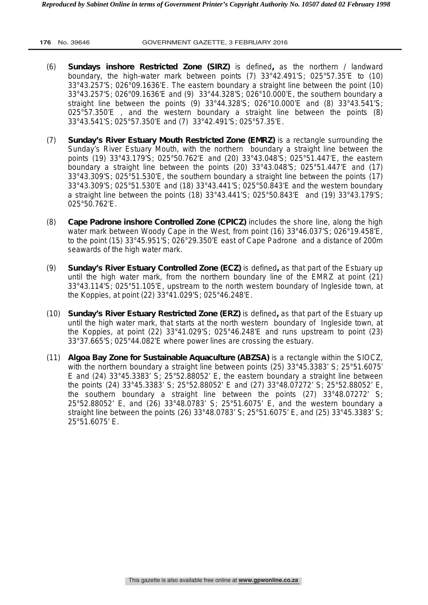- (6) **Sundays inshore Restricted Zone (SIRZ)** is defined**,** as the northern / landward boundary, the high-water mark between points (7) 33°42.491'S; 025°57.35'E to (10) 33°43.257'S; 026°09.1636'E. The eastern boundary a straight line between the point (10) 33°43.257'S; 026°09.1636'E and (9) 33°44.328'S; 026°10.000'E, the southern boundary a straight line between the points (9) 33°44.328'S; 026°10.000'E and (8) 33°43.541'S; 025°57.350'E , and the western boundary a straight line between the points (8) 33°43.541'S; 025°57.350'E and (7) 33°42.491'S; 025°57.35'E.
- (7) **Sunday's River Estuary Mouth Restricted Zone (EMRZ)** is a rectangle surrounding the Sunday's River Estuary Mouth, with the northern boundary a straight line between the points (19) 33°43.179'S; 025°50.762'E and (20) 33°43.048'S; 025°51.447'E, the eastern boundary a straight line between the points (20) 33°43.048'S; 025°51.447'E and (17) 33°43.309'S; 025°51.530'E, the southern boundary a straight line between the points (17) 33°43.309'S; 025°51.530'E and (18) 33°43.441'S; 025°50.843'E and the western boundary a straight line between the points  $(18)$  33°43.441'S; 025°50.843'E and  $(19)$  33°43.179'S; 025°50.762'E.
- (8) **Cape Padrone inshore Controlled Zone (CPICZ)** includes the shore line, along the high water mark between Woody Cape in the West, from point (16) 33°46.037'S; 026°19.458'E, to the point (15) 33°45.951'S; 026°29.350'E east of Cape Padrone and a distance of 200m seawards of the high water mark.
- (9) **Sunday's River Estuary Controlled Zone (ECZ)** is defined**,** as that part of the Estuary up until the high water mark, from the northern boundary line of the EMRZ at point (21) 33°43.114'S; 025°51.105'E, upstream to the north western boundary of Ingleside town, at the Koppies, at point (22) 33°41.029'S; 025°46.248'E.
- (10) **Sunday's River Estuary Restricted Zone (ERZ)** is defined**,** as that part of the Estuary up until the high water mark, that starts at the north western boundary of Ingleside town, at the Koppies, at point (22) 33°41.029'S; 025°46.248'E and runs upstream to point (23) 33°37.665'S; 025°44.082'E where power lines are crossing the estuary.
- (11) **Algoa Bay Zone for Sustainable Aquaculture (ABZSA)** is a rectangle within the SIOCZ, with the northern boundary a straight line between points (25) 33°45.3383' S; 25°51.6075' E and  $(24)$  33°45.3383' S; 25°52.88052' E, the eastern boundary a straight line between the points (24) 33°45.3383' S; 25°52.88052' E and (27) 33°48.07272' S; 25°52.88052' E, the southern boundary a straight line between the points (27) 33°48.07272' S; 25°52.88052' E, and (26) 33°48.0783' S; 25°51.6075' E, and the western boundary a straight line between the points (26) 33°48.0783' S; 25°51.6075' E, and (25) 33°45.3383' S; 25°51.6075' E.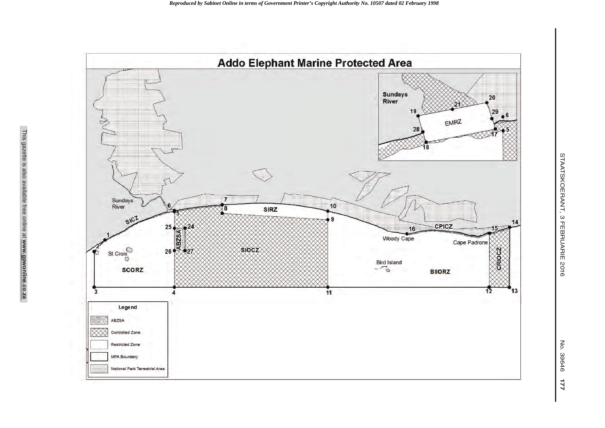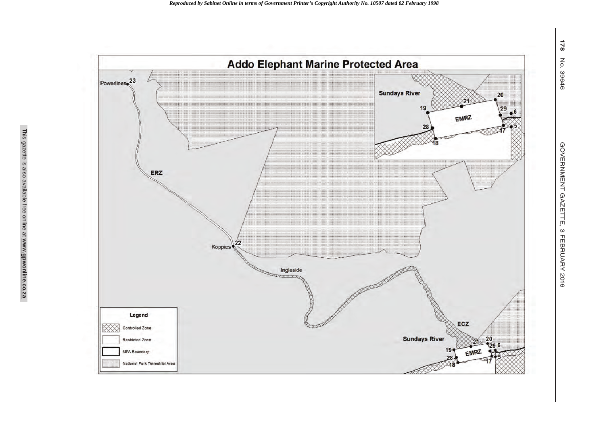